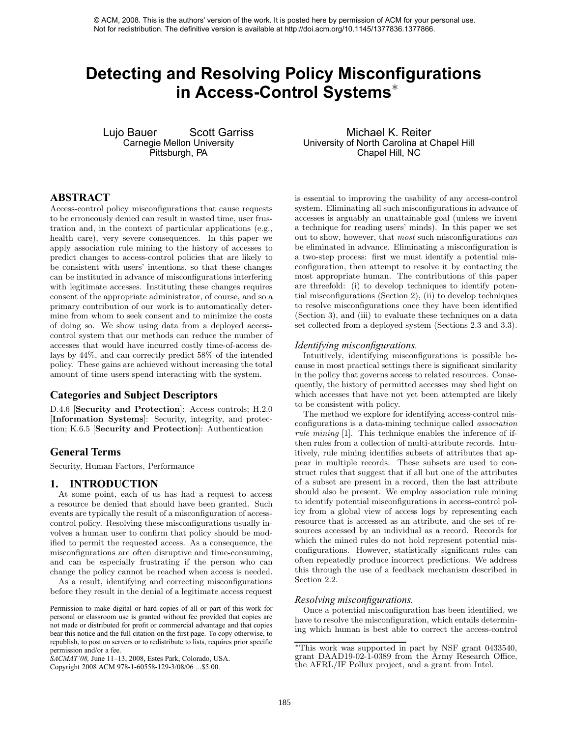# **Detecting and Resolving Policy Misconfigurations in Access-Control Systems**<sup>∗</sup>

Lujo Bauer Scott Garriss Carnegie Mellon University Pittsburgh, PA

Michael K. Reiter University of North Carolina at Chapel Hill Chapel Hill, NC

# **ABSTRACT**

Access-control policy misconfigurations that cause requests to be erroneously denied can result in wasted time, user frustration and, in the context of particular applications (e.g., health care), very severe consequences. In this paper we apply association rule mining to the history of accesses to predict changes to access-control policies that are likely to be consistent with users' intentions, so that these changes can be instituted in advance of misconfigurations interfering with legitimate accesses. Instituting these changes requires consent of the appropriate administrator, of course, and so a primary contribution of our work is to automatically determine from whom to seek consent and to minimize the costs of doing so. We show using data from a deployed accesscontrol system that our methods can reduce the number of accesses that would have incurred costly time-of-access delays by 44%, and can correctly predict 58% of the intended policy. These gains are achieved without increasing the total amount of time users spend interacting with the system.

# **Categories and Subject Descriptors**

D.4.6 [Security and Protection]: Access controls; H.2.0 [Information Systems]: Security, integrity, and protection; K.6.5 [Security and Protection]: Authentication

# **General Terms**

Security, Human Factors, Performance

# **1. INTRODUCTION**

At some point, each of us has had a request to access a resource be denied that should have been granted. Such events are typically the result of a misconfiguration of accesscontrol policy. Resolving these misconfigurations usually involves a human user to confirm that policy should be modified to permit the requested access. As a consequence, the misconfigurations are often disruptive and time-consuming, and can be especially frustrating if the person who can change the policy cannot be reached when access is needed.

As a result, identifying and correcting misconfigurations before they result in the denial of a legitimate access request

is essential to improving the usability of any access-control system. Eliminating all such misconfigurations in advance of accesses is arguably an unattainable goal (unless we invent a technique for reading users' minds). In this paper we set out to show, however, that most such misconfigurations can be eliminated in advance. Eliminating a misconfiguration is a two-step process: first we must identify a potential misconfiguration, then attempt to resolve it by contacting the most appropriate human. The contributions of this paper are threefold: (i) to develop techniques to identify potential misconfigurations (Section 2), (ii) to develop techniques to resolve misconfigurations once they have been identified (Section 3), and (iii) to evaluate these techniques on a data set collected from a deployed system (Sections 2.3 and 3.3).

### *Identifying misconfigurations.*

Intuitively, identifying misconfigurations is possible because in most practical settings there is significant similarity in the policy that governs access to related resources. Consequently, the history of permitted accesses may shed light on which accesses that have not yet been attempted are likely to be consistent with policy.

The method we explore for identifying access-control misconfigurations is a data-mining technique called association rule mining [1]. This technique enables the inference of ifthen rules from a collection of multi-attribute records. Intuitively, rule mining identifies subsets of attributes that appear in multiple records. These subsets are used to construct rules that suggest that if all but one of the attributes of a subset are present in a record, then the last attribute should also be present. We employ association rule mining to identify potential misconfigurations in access-control policy from a global view of access logs by representing each resource that is accessed as an attribute, and the set of resources accessed by an individual as a record. Records for which the mined rules do not hold represent potential misconfigurations. However, statistically significant rules can often repeatedly produce incorrect predictions. We address this through the use of a feedback mechanism described in Section 2.2.

### *Resolving misconfigurations.*

Once a potential misconfiguration has been identified, we have to resolve the misconfiguration, which entails determining which human is best able to correct the access-control

Permission to make digital or hard copies of all or part of this work for personal or classroom use is granted without fee provided that copies are not made or distributed for profit or commercial advantage and that copies bear this notice and the full citation on the first page. To copy otherwise, to republish, to post on servers or to redistribute to lists, requires prior specific permission and/or a fee.

*SACMAT'08,* June 11–13, 2008, Estes Park, Colorado, USA.

Copyright 2008 ACM 978-1-60558-129-3/08/06 ...\$5.00.

<sup>∗</sup>This work was supported in part by NSF grant 0433540, grant DAAD19-02-1-0389 from the Army Research Office, the AFRL/IF Pollux project, and a grant from Intel.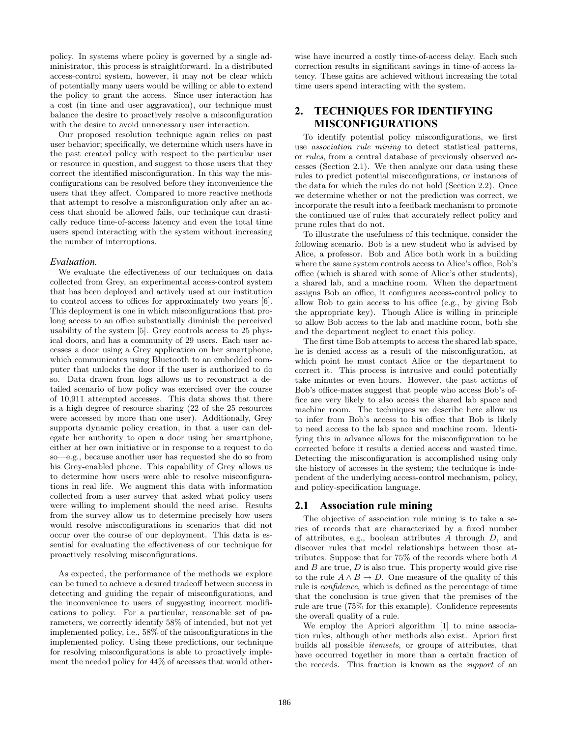policy. In systems where policy is governed by a single administrator, this process is straightforward. In a distributed access-control system, however, it may not be clear which of potentially many users would be willing or able to extend the policy to grant the access. Since user interaction has a cost (in time and user aggravation), our technique must balance the desire to proactively resolve a misconfiguration with the desire to avoid unnecessary user interaction.

Our proposed resolution technique again relies on past user behavior; specifically, we determine which users have in the past created policy with respect to the particular user or resource in question, and suggest to those users that they correct the identified misconfiguration. In this way the misconfigurations can be resolved before they inconvenience the users that they affect. Compared to more reactive methods that attempt to resolve a misconfiguration only after an access that should be allowed fails, our technique can drastically reduce time-of-access latency and even the total time users spend interacting with the system without increasing the number of interruptions.

#### *Evaluation.*

We evaluate the effectiveness of our techniques on data collected from Grey, an experimental access-control system that has been deployed and actively used at our institution to control access to offices for approximately two years [6]. This deployment is one in which misconfigurations that prolong access to an office substantially diminish the perceived usability of the system [5]. Grey controls access to 25 physical doors, and has a community of 29 users. Each user accesses a door using a Grey application on her smartphone, which communicates using Bluetooth to an embedded computer that unlocks the door if the user is authorized to do so. Data drawn from logs allows us to reconstruct a detailed scenario of how policy was exercised over the course of 10,911 attempted accesses. This data shows that there is a high degree of resource sharing (22 of the 25 resources were accessed by more than one user). Additionally, Grey supports dynamic policy creation, in that a user can delegate her authority to open a door using her smartphone, either at her own initiative or in response to a request to do so—e.g., because another user has requested she do so from his Grey-enabled phone. This capability of Grey allows us to determine how users were able to resolve misconfigurations in real life. We augment this data with information collected from a user survey that asked what policy users were willing to implement should the need arise. Results from the survey allow us to determine precisely how users would resolve misconfigurations in scenarios that did not occur over the course of our deployment. This data is essential for evaluating the effectiveness of our technique for proactively resolving misconfigurations.

As expected, the performance of the methods we explore can be tuned to achieve a desired tradeoff between success in detecting and guiding the repair of misconfigurations, and the inconvenience to users of suggesting incorrect modifications to policy. For a particular, reasonable set of parameters, we correctly identify 58% of intended, but not yet implemented policy, i.e., 58% of the misconfigurations in the implemented policy. Using these predictions, our technique for resolving misconfigurations is able to proactively implement the needed policy for 44% of accesses that would otherwise have incurred a costly time-of-access delay. Each such correction results in significant savings in time-of-access latency. These gains are achieved without increasing the total time users spend interacting with the system.

# **2. TECHNIQUES FOR IDENTIFYING MISCONFIGURATIONS**

To identify potential policy misconfigurations, we first use association rule mining to detect statistical patterns, or rules, from a central database of previously observed accesses (Section 2.1). We then analyze our data using these rules to predict potential misconfigurations, or instances of the data for which the rules do not hold (Section 2.2). Once we determine whether or not the prediction was correct, we incorporate the result into a feedback mechanism to promote the continued use of rules that accurately reflect policy and prune rules that do not.

To illustrate the usefulness of this technique, consider the following scenario. Bob is a new student who is advised by Alice, a professor. Bob and Alice both work in a building where the same system controls access to Alice's office, Bob's office (which is shared with some of Alice's other students), a shared lab, and a machine room. When the department assigns Bob an office, it configures access-control policy to allow Bob to gain access to his office (e.g., by giving Bob the appropriate key). Though Alice is willing in principle to allow Bob access to the lab and machine room, both she and the department neglect to enact this policy.

The first time Bob attempts to access the shared lab space, he is denied access as a result of the misconfiguration, at which point he must contact Alice or the department to correct it. This process is intrusive and could potentially take minutes or even hours. However, the past actions of Bob's office-mates suggest that people who access Bob's office are very likely to also access the shared lab space and machine room. The techniques we describe here allow us to infer from Bob's access to his office that Bob is likely to need access to the lab space and machine room. Identifying this in advance allows for the misconfiguration to be corrected before it results a denied access and wasted time. Detecting the misconfiguration is accomplished using only the history of accesses in the system; the technique is independent of the underlying access-control mechanism, policy, and policy-specification language.

## **2.1 Association rule mining**

The objective of association rule mining is to take a series of records that are characterized by a fixed number of attributes, e.g., boolean attributes A through D, and discover rules that model relationships between those attributes. Suppose that for 75% of the records where both A and  $B$  are true,  $D$  is also true. This property would give rise to the rule  $A \wedge B \to D$ . One measure of the quality of this rule is confidence, which is defined as the percentage of time that the conclusion is true given that the premises of the rule are true (75% for this example). Confidence represents the overall quality of a rule.

We employ the Apriori algorithm [1] to mine association rules, although other methods also exist. Apriori first builds all possible itemsets, or groups of attributes, that have occurred together in more than a certain fraction of the records. This fraction is known as the support of an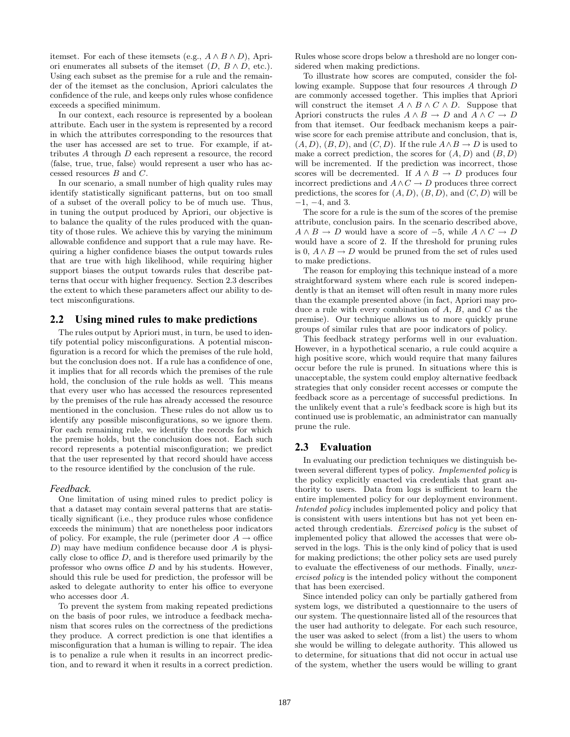itemset. For each of these itemsets (e.g.,  $A \wedge B \wedge D$ ), Apriori enumerates all subsets of the itemset  $(D, B \wedge D, \text{ etc.}).$ Using each subset as the premise for a rule and the remainder of the itemset as the conclusion, Apriori calculates the confidence of the rule, and keeps only rules whose confidence exceeds a specified minimum.

In our context, each resource is represented by a boolean attribute. Each user in the system is represented by a record in which the attributes corresponding to the resources that the user has accessed are set to true. For example, if attributes A through D each represent a resource, the record  $\langle$  false, true, true, false $\rangle$  would represent a user who has accessed resources B and C.

In our scenario, a small number of high quality rules may identify statistically significant patterns, but on too small of a subset of the overall policy to be of much use. Thus, in tuning the output produced by Apriori, our objective is to balance the quality of the rules produced with the quantity of those rules. We achieve this by varying the minimum allowable confidence and support that a rule may have. Requiring a higher confidence biases the output towards rules that are true with high likelihood, while requiring higher support biases the output towards rules that describe patterns that occur with higher frequency. Section 2.3 describes the extent to which these parameters affect our ability to detect misconfigurations.

### **2.2 Using mined rules to make predictions**

The rules output by Apriori must, in turn, be used to identify potential policy misconfigurations. A potential misconfiguration is a record for which the premises of the rule hold, but the conclusion does not. If a rule has a confidence of one, it implies that for all records which the premises of the rule hold, the conclusion of the rule holds as well. This means that every user who has accessed the resources represented by the premises of the rule has already accessed the resource mentioned in the conclusion. These rules do not allow us to identify any possible misconfigurations, so we ignore them. For each remaining rule, we identify the records for which the premise holds, but the conclusion does not. Each such record represents a potential misconfiguration; we predict that the user represented by that record should have access to the resource identified by the conclusion of the rule.

#### *Feedback.*

One limitation of using mined rules to predict policy is that a dataset may contain several patterns that are statistically significant (i.e., they produce rules whose confidence exceeds the minimum) that are nonetheless poor indicators of policy. For example, the rule (perimeter door  $A \rightarrow$  office  $D$ ) may have medium confidence because door A is physically close to office  $D$ , and is therefore used primarily by the professor who owns office D and by his students. However, should this rule be used for prediction, the professor will be asked to delegate authority to enter his office to everyone who accesses door A.

To prevent the system from making repeated predictions on the basis of poor rules, we introduce a feedback mechanism that scores rules on the correctness of the predictions they produce. A correct prediction is one that identifies a misconfiguration that a human is willing to repair. The idea is to penalize a rule when it results in an incorrect prediction, and to reward it when it results in a correct prediction.

Rules whose score drops below a threshold are no longer considered when making predictions.

To illustrate how scores are computed, consider the following example. Suppose that four resources A through D are commonly accessed together. This implies that Apriori will construct the itemset  $A \wedge B \wedge C \wedge D$ . Suppose that Apriori constructs the rules  $A \wedge B \to D$  and  $A \wedge C \to D$ from that itemset. Our feedback mechanism keeps a pairwise score for each premise attribute and conclusion, that is,  $(A, D), (B, D),$  and  $(C, D)$ . If the rule  $A \wedge B \to D$  is used to make a correct prediction, the scores for  $(A, D)$  and  $(B, D)$ will be incremented. If the prediction was incorrect, those scores will be decremented. If  $A \wedge B \to D$  produces four incorrect predictions and  $A \wedge C \to D$  produces three correct predictions, the scores for  $(A, D), (B, D)$ , and  $(C, D)$  will be  $-1, -4,$  and 3.

The score for a rule is the sum of the scores of the premise attribute, conclusion pairs. In the scenario described above,  $A \wedge B \to D$  would have a score of -5, while  $A \wedge C \to D$ would have a score of 2. If the threshold for pruning rules is 0,  $A \wedge B \to D$  would be pruned from the set of rules used to make predictions.

The reason for employing this technique instead of a more straightforward system where each rule is scored independently is that an itemset will often result in many more rules than the example presented above (in fact, Apriori may produce a rule with every combination of A, B, and C as the premise). Our technique allows us to more quickly prune groups of similar rules that are poor indicators of policy.

This feedback strategy performs well in our evaluation. However, in a hypothetical scenario, a rule could acquire a high positive score, which would require that many failures occur before the rule is pruned. In situations where this is unacceptable, the system could employ alternative feedback strategies that only consider recent accesses or compute the feedback score as a percentage of successful predictions. In the unlikely event that a rule's feedback score is high but its continued use is problematic, an administrator can manually prune the rule.

# **2.3 Evaluation**

In evaluating our prediction techniques we distinguish between several different types of policy. Implemented policy is the policy explicitly enacted via credentials that grant authority to users. Data from logs is sufficient to learn the entire implemented policy for our deployment environment. Intended policy includes implemented policy and policy that is consistent with users intentions but has not yet been enacted through credentials. Exercised policy is the subset of implemented policy that allowed the accesses that were observed in the logs. This is the only kind of policy that is used for making predictions; the other policy sets are used purely to evaluate the effectiveness of our methods. Finally, unexercised policy is the intended policy without the component that has been exercised.

Since intended policy can only be partially gathered from system logs, we distributed a questionnaire to the users of our system. The questionnaire listed all of the resources that the user had authority to delegate. For each such resource, the user was asked to select (from a list) the users to whom she would be willing to delegate authority. This allowed us to determine, for situations that did not occur in actual use of the system, whether the users would be willing to grant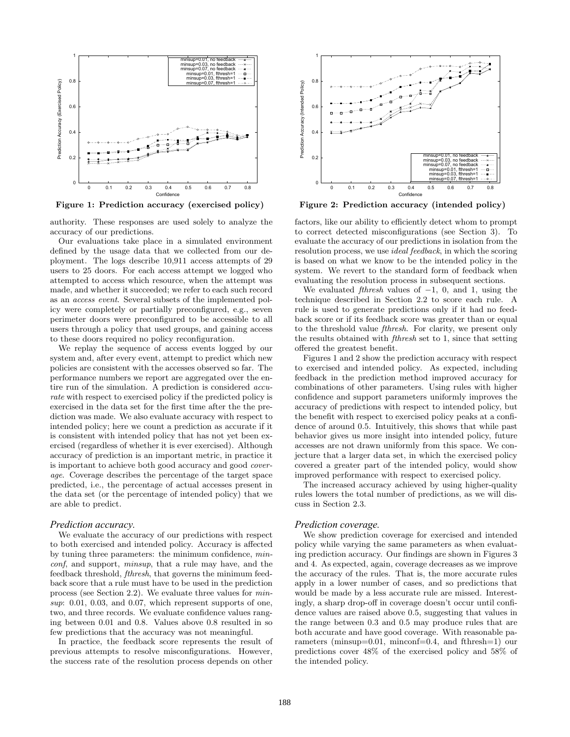

Figure 1: Prediction accuracy (exercised policy)

authority. These responses are used solely to analyze the accuracy of our predictions.

Our evaluations take place in a simulated environment defined by the usage data that we collected from our deployment. The logs describe 10,911 access attempts of 29 users to 25 doors. For each access attempt we logged who attempted to access which resource, when the attempt was made, and whether it succeeded; we refer to each such record as an access event. Several subsets of the implemented policy were completely or partially preconfigured, e.g., seven perimeter doors were preconfigured to be accessible to all users through a policy that used groups, and gaining access to these doors required no policy reconfiguration.

We replay the sequence of access events logged by our system and, after every event, attempt to predict which new policies are consistent with the accesses observed so far. The performance numbers we report are aggregated over the entire run of the simulation. A prediction is considered accurate with respect to exercised policy if the predicted policy is exercised in the data set for the first time after the the prediction was made. We also evaluate accuracy with respect to intended policy; here we count a prediction as accurate if it is consistent with intended policy that has not yet been exercised (regardless of whether it is ever exercised). Although accuracy of prediction is an important metric, in practice it is important to achieve both good accuracy and good coverage. Coverage describes the percentage of the target space predicted, i.e., the percentage of actual accesses present in the data set (or the percentage of intended policy) that we are able to predict.

#### *Prediction accuracy.*

We evaluate the accuracy of our predictions with respect to both exercised and intended policy. Accuracy is affected by tuning three parameters: the minimum confidence, minconf, and support, minsup, that a rule may have, and the feedback threshold, fthresh, that governs the minimum feedback score that a rule must have to be used in the prediction process (see Section 2.2). We evaluate three values for minsup: 0.01, 0.03, and 0.07, which represent supports of one, two, and three records. We evaluate confidence values ranging between 0.01 and 0.8. Values above 0.8 resulted in so few predictions that the accuracy was not meaningful.

In practice, the feedback score represents the result of previous attempts to resolve misconfigurations. However, the success rate of the resolution process depends on other



Figure 2: Prediction accuracy (intended policy)

factors, like our ability to efficiently detect whom to prompt to correct detected misconfigurations (see Section 3). To evaluate the accuracy of our predictions in isolation from the resolution process, we use ideal feedback, in which the scoring is based on what we know to be the intended policy in the system. We revert to the standard form of feedback when evaluating the resolution process in subsequent sections.

We evaluated *fthresh* values of  $-1$ , 0, and 1, using the technique described in Section 2.2 to score each rule. A rule is used to generate predictions only if it had no feedback score or if its feedback score was greater than or equal to the threshold value fthresh. For clarity, we present only the results obtained with fthresh set to 1, since that setting offered the greatest benefit.

Figures 1 and 2 show the prediction accuracy with respect to exercised and intended policy. As expected, including feedback in the prediction method improved accuracy for combinations of other parameters. Using rules with higher confidence and support parameters uniformly improves the accuracy of predictions with respect to intended policy, but the benefit with respect to exercised policy peaks at a confidence of around 0.5. Intuitively, this shows that while past behavior gives us more insight into intended policy, future accesses are not drawn uniformly from this space. We conjecture that a larger data set, in which the exercised policy covered a greater part of the intended policy, would show improved performance with respect to exercised policy.

The increased accuracy achieved by using higher-quality rules lowers the total number of predictions, as we will discuss in Section 2.3.

#### *Prediction coverage.*

We show prediction coverage for exercised and intended policy while varying the same parameters as when evaluating prediction accuracy. Our findings are shown in Figures 3 and 4. As expected, again, coverage decreases as we improve the accuracy of the rules. That is, the more accurate rules apply in a lower number of cases, and so predictions that would be made by a less accurate rule are missed. Interestingly, a sharp drop-off in coverage doesn't occur until confidence values are raised above 0.5, suggesting that values in the range between 0.3 and 0.5 may produce rules that are both accurate and have good coverage. With reasonable parameters (minsup=0.01, minconf=0.4, and fthresh=1) our predictions cover 48% of the exercised policy and 58% of the intended policy.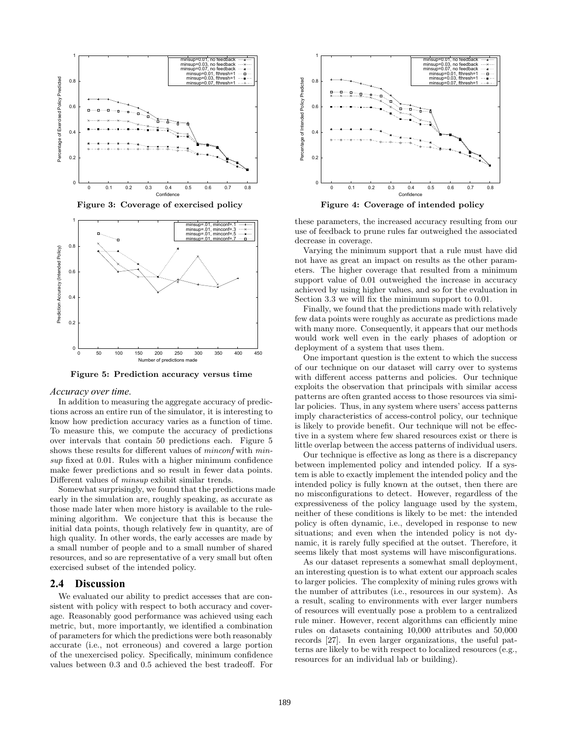

Figure 3: Coverage of exercised policy



Figure 5: Prediction accuracy versus time

#### *Accuracy over time.*

In addition to measuring the aggregate accuracy of predictions across an entire run of the simulator, it is interesting to know how prediction accuracy varies as a function of time. To measure this, we compute the accuracy of predictions over intervals that contain 50 predictions each. Figure 5 shows these results for different values of minconf with minsup fixed at 0.01. Rules with a higher minimum confidence make fewer predictions and so result in fewer data points. Different values of minsup exhibit similar trends.

Somewhat surprisingly, we found that the predictions made early in the simulation are, roughly speaking, as accurate as those made later when more history is available to the rulemining algorithm. We conjecture that this is because the initial data points, though relatively few in quantity, are of high quality. In other words, the early accesses are made by a small number of people and to a small number of shared resources, and so are representative of a very small but often exercised subset of the intended policy.

### **2.4 Discussion**

We evaluated our ability to predict accesses that are consistent with policy with respect to both accuracy and coverage. Reasonably good performance was achieved using each metric, but, more importantly, we identified a combination of parameters for which the predictions were both reasonably accurate (i.e., not erroneous) and covered a large portion of the unexercised policy. Specifically, minimum confidence values between 0.3 and 0.5 achieved the best tradeoff. For



Figure 4: Coverage of intended policy

these parameters, the increased accuracy resulting from our use of feedback to prune rules far outweighed the associated decrease in coverage.

Varying the minimum support that a rule must have did not have as great an impact on results as the other parameters. The higher coverage that resulted from a minimum support value of 0.01 outweighed the increase in accuracy achieved by using higher values, and so for the evaluation in Section 3.3 we will fix the minimum support to 0.01.

Finally, we found that the predictions made with relatively few data points were roughly as accurate as predictions made with many more. Consequently, it appears that our methods would work well even in the early phases of adoption or deployment of a system that uses them.

One important question is the extent to which the success of our technique on our dataset will carry over to systems with different access patterns and policies. Our technique exploits the observation that principals with similar access patterns are often granted access to those resources via similar policies. Thus, in any system where users' access patterns imply characteristics of access-control policy, our technique is likely to provide benefit. Our technique will not be effective in a system where few shared resources exist or there is little overlap between the access patterns of individual users.

Our technique is effective as long as there is a discrepancy between implemented policy and intended policy. If a system is able to exactly implement the intended policy and the intended policy is fully known at the outset, then there are no misconfigurations to detect. However, regardless of the expressiveness of the policy language used by the system, neither of these conditions is likely to be met: the intended policy is often dynamic, i.e., developed in response to new situations; and even when the intended policy is not dynamic, it is rarely fully specified at the outset. Therefore, it seems likely that most systems will have misconfigurations.

As our dataset represents a somewhat small deployment, an interesting question is to what extent our approach scales to larger policies. The complexity of mining rules grows with the number of attributes (i.e., resources in our system). As a result, scaling to environments with ever larger numbers of resources will eventually pose a problem to a centralized rule miner. However, recent algorithms can efficiently mine rules on datasets containing 10,000 attributes and 50,000 records [27]. In even larger organizations, the useful patterns are likely to be with respect to localized resources (e.g., resources for an individual lab or building).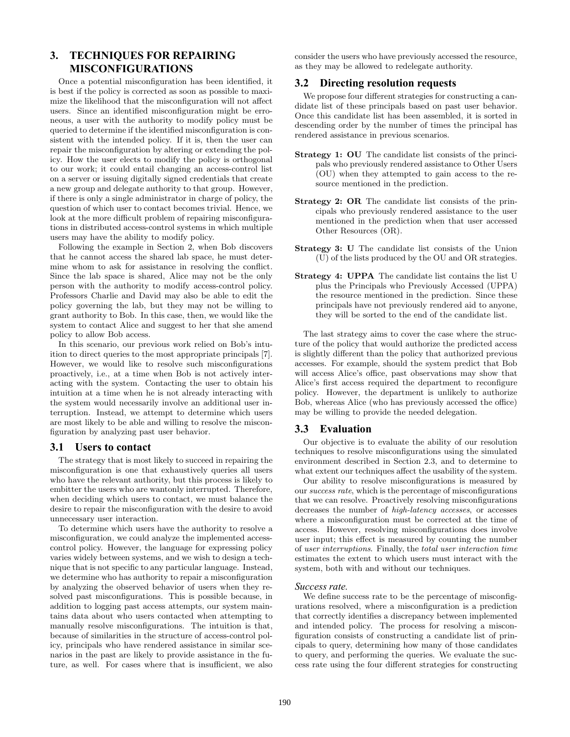# **3. TECHNIQUES FOR REPAIRING MISCONFIGURATIONS**

Once a potential misconfiguration has been identified, it is best if the policy is corrected as soon as possible to maximize the likelihood that the misconfiguration will not affect users. Since an identified misconfiguration might be erroneous, a user with the authority to modify policy must be queried to determine if the identified misconfiguration is consistent with the intended policy. If it is, then the user can repair the misconfiguration by altering or extending the policy. How the user elects to modify the policy is orthogonal to our work; it could entail changing an access-control list on a server or issuing digitally signed credentials that create a new group and delegate authority to that group. However, if there is only a single administrator in charge of policy, the question of which user to contact becomes trivial. Hence, we look at the more difficult problem of repairing misconfigurations in distributed access-control systems in which multiple users may have the ability to modify policy.

Following the example in Section 2, when Bob discovers that he cannot access the shared lab space, he must determine whom to ask for assistance in resolving the conflict. Since the lab space is shared, Alice may not be the only person with the authority to modify access-control policy. Professors Charlie and David may also be able to edit the policy governing the lab, but they may not be willing to grant authority to Bob. In this case, then, we would like the system to contact Alice and suggest to her that she amend policy to allow Bob access.

In this scenario, our previous work relied on Bob's intuition to direct queries to the most appropriate principals [7]. However, we would like to resolve such misconfigurations proactively, i.e., at a time when Bob is not actively interacting with the system. Contacting the user to obtain his intuition at a time when he is not already interacting with the system would necessarily involve an additional user interruption. Instead, we attempt to determine which users are most likely to be able and willing to resolve the misconfiguration by analyzing past user behavior.

## **3.1 Users to contact**

The strategy that is most likely to succeed in repairing the misconfiguration is one that exhaustively queries all users who have the relevant authority, but this process is likely to embitter the users who are wantonly interrupted. Therefore, when deciding which users to contact, we must balance the desire to repair the misconfiguration with the desire to avoid unnecessary user interaction.

To determine which users have the authority to resolve a misconfiguration, we could analyze the implemented accesscontrol policy. However, the language for expressing policy varies widely between systems, and we wish to design a technique that is not specific to any particular language. Instead, we determine who has authority to repair a misconfiguration by analyzing the observed behavior of users when they resolved past misconfigurations. This is possible because, in addition to logging past access attempts, our system maintains data about who users contacted when attempting to manually resolve misconfigurations. The intuition is that, because of similarities in the structure of access-control policy, principals who have rendered assistance in similar scenarios in the past are likely to provide assistance in the future, as well. For cases where that is insufficient, we also

consider the users who have previously accessed the resource, as they may be allowed to redelegate authority.

### **3.2 Directing resolution requests**

We propose four different strategies for constructing a candidate list of these principals based on past user behavior. Once this candidate list has been assembled, it is sorted in descending order by the number of times the principal has rendered assistance in previous scenarios.

- Strategy 1: OU The candidate list consists of the principals who previously rendered assistance to Other Users (OU) when they attempted to gain access to the resource mentioned in the prediction.
- Strategy 2: OR The candidate list consists of the principals who previously rendered assistance to the user mentioned in the prediction when that user accessed Other Resources (OR).
- Strategy 3: U The candidate list consists of the Union (U) of the lists produced by the OU and OR strategies.
- Strategy 4: UPPA The candidate list contains the list U plus the Principals who Previously Accessed (UPPA) the resource mentioned in the prediction. Since these principals have not previously rendered aid to anyone, they will be sorted to the end of the candidate list.

The last strategy aims to cover the case where the structure of the policy that would authorize the predicted access is slightly different than the policy that authorized previous accesses. For example, should the system predict that Bob will access Alice's office, past observations may show that Alice's first access required the department to reconfigure policy. However, the department is unlikely to authorize Bob, whereas Alice (who has previously accessed the office) may be willing to provide the needed delegation.

### **3.3 Evaluation**

Our objective is to evaluate the ability of our resolution techniques to resolve misconfigurations using the simulated environment described in Section 2.3, and to determine to what extent our techniques affect the usability of the system.

Our ability to resolve misconfigurations is measured by our success rate, which is the percentage of misconfigurations that we can resolve. Proactively resolving misconfigurations decreases the number of high-latency accesses, or accesses where a misconfiguration must be corrected at the time of access. However, resolving misconfigurations does involve user input; this effect is measured by counting the number of user interruptions. Finally, the total user interaction time estimates the extent to which users must interact with the system, both with and without our techniques.

#### *Success rate.*

We define success rate to be the percentage of misconfigurations resolved, where a misconfiguration is a prediction that correctly identifies a discrepancy between implemented and intended policy. The process for resolving a misconfiguration consists of constructing a candidate list of principals to query, determining how many of those candidates to query, and performing the queries. We evaluate the success rate using the four different strategies for constructing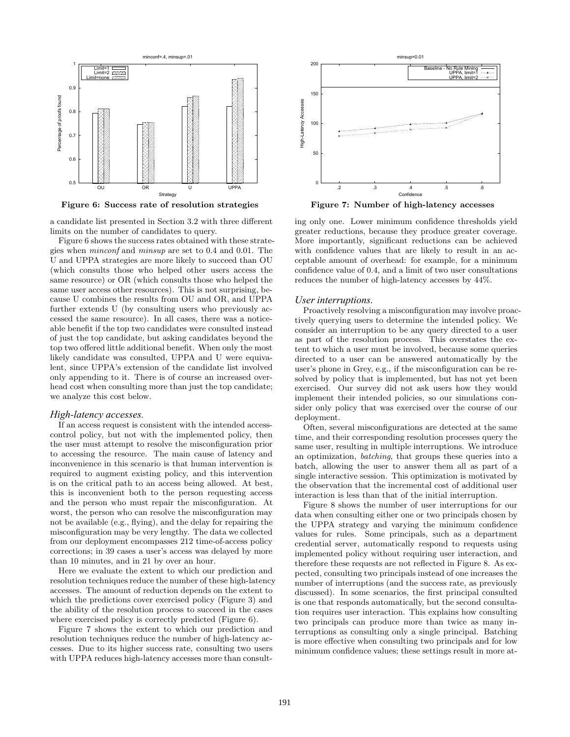

Figure 6: Success rate of resolution strategies

a candidate list presented in Section 3.2 with three different limits on the number of candidates to query.

Figure 6 shows the success rates obtained with these strategies when minconf and minsup are set to 0.4 and 0.01. The U and UPPA strategies are more likely to succeed than OU (which consults those who helped other users access the same resource) or OR (which consults those who helped the same user access other resources). This is not surprising, because U combines the results from OU and OR, and UPPA further extends U (by consulting users who previously accessed the same resource). In all cases, there was a noticeable benefit if the top two candidates were consulted instead of just the top candidate, but asking candidates beyond the top two offered little additional benefit. When only the most likely candidate was consulted, UPPA and U were equivalent, since UPPA's extension of the candidate list involved only appending to it. There is of course an increased overhead cost when consulting more than just the top candidate; we analyze this cost below.

#### *High-latency accesses.*

If an access request is consistent with the intended accesscontrol policy, but not with the implemented policy, then the user must attempt to resolve the misconfiguration prior to accessing the resource. The main cause of latency and inconvenience in this scenario is that human intervention is required to augment existing policy, and this intervention is on the critical path to an access being allowed. At best, this is inconvenient both to the person requesting access and the person who must repair the misconfiguration. At worst, the person who can resolve the misconfiguration may not be available (e.g., flying), and the delay for repairing the misconfiguration may be very lengthy. The data we collected from our deployment encompasses 212 time-of-access policy corrections; in 39 cases a user's access was delayed by more than 10 minutes, and in 21 by over an hour.

Here we evaluate the extent to which our prediction and resolution techniques reduce the number of these high-latency accesses. The amount of reduction depends on the extent to which the predictions cover exercised policy (Figure 3) and the ability of the resolution process to succeed in the cases where exercised policy is correctly predicted (Figure 6).

Figure 7 shows the extent to which our prediction and resolution techniques reduce the number of high-latency accesses. Due to its higher success rate, consulting two users with UPPA reduces high-latency accesses more than consult-



Figure 7: Number of high-latency accesses

ing only one. Lower minimum confidence thresholds yield greater reductions, because they produce greater coverage. More importantly, significant reductions can be achieved with confidence values that are likely to result in an acceptable amount of overhead: for example, for a minimum confidence value of 0.4, and a limit of two user consultations reduces the number of high-latency accesses by 44%.

#### *User interruptions.*

Proactively resolving a misconfiguration may involve proactively querying users to determine the intended policy. We consider an interruption to be any query directed to a user as part of the resolution process. This overstates the extent to which a user must be involved, because some queries directed to a user can be answered automatically by the user's phone in Grey, e.g., if the misconfiguration can be resolved by policy that is implemented, but has not yet been exercised. Our survey did not ask users how they would implement their intended policies, so our simulations consider only policy that was exercised over the course of our deployment.

Often, several misconfigurations are detected at the same time, and their corresponding resolution processes query the same user, resulting in multiple interruptions. We introduce an optimization, batching, that groups these queries into a batch, allowing the user to answer them all as part of a single interactive session. This optimization is motivated by the observation that the incremental cost of additional user interaction is less than that of the initial interruption.

Figure 8 shows the number of user interruptions for our data when consulting either one or two principals chosen by the UPPA strategy and varying the minimum confidence values for rules. Some principals, such as a department credential server, automatically respond to requests using implemented policy without requiring user interaction, and therefore these requests are not reflected in Figure 8. As expected, consulting two principals instead of one increases the number of interruptions (and the success rate, as previously discussed). In some scenarios, the first principal consulted is one that responds automatically, but the second consultation requires user interaction. This explains how consulting two principals can produce more than twice as many interruptions as consulting only a single principal. Batching is more effective when consulting two principals and for low minimum confidence values; these settings result in more at-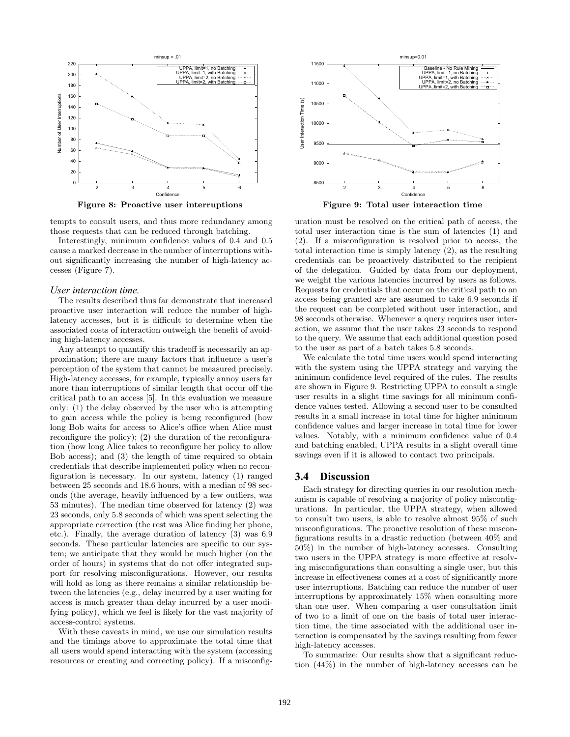

Figure 8: Proactive user interruptions

tempts to consult users, and thus more redundancy among those requests that can be reduced through batching.

Interestingly, minimum confidence values of 0.4 and 0.5 cause a marked decrease in the number of interruptions without significantly increasing the number of high-latency accesses (Figure 7).

#### *User interaction time.*

The results described thus far demonstrate that increased proactive user interaction will reduce the number of highlatency accesses, but it is difficult to determine when the associated costs of interaction outweigh the benefit of avoiding high-latency accesses.

Any attempt to quantify this tradeoff is necessarily an approximation; there are many factors that influence a user's perception of the system that cannot be measured precisely. High-latency accesses, for example, typically annoy users far more than interruptions of similar length that occur off the critical path to an access [5]. In this evaluation we measure only: (1) the delay observed by the user who is attempting to gain access while the policy is being reconfigured (how long Bob waits for access to Alice's office when Alice must reconfigure the policy); (2) the duration of the reconfiguration (how long Alice takes to reconfigure her policy to allow Bob access); and (3) the length of time required to obtain credentials that describe implemented policy when no reconfiguration is necessary. In our system, latency (1) ranged between 25 seconds and 18.6 hours, with a median of 98 seconds (the average, heavily influenced by a few outliers, was 53 minutes). The median time observed for latency (2) was 23 seconds, only 5.8 seconds of which was spent selecting the appropriate correction (the rest was Alice finding her phone, etc.). Finally, the average duration of latency (3) was 6.9 seconds. These particular latencies are specific to our system; we anticipate that they would be much higher (on the order of hours) in systems that do not offer integrated support for resolving misconfigurations. However, our results will hold as long as there remains a similar relationship between the latencies (e.g., delay incurred by a user waiting for access is much greater than delay incurred by a user modifying policy), which we feel is likely for the vast majority of access-control systems.

With these caveats in mind, we use our simulation results and the timings above to approximate the total time that all users would spend interacting with the system (accessing resources or creating and correcting policy). If a misconfig-





uration must be resolved on the critical path of access, the total user interaction time is the sum of latencies (1) and (2). If a misconfiguration is resolved prior to access, the total interaction time is simply latency (2), as the resulting credentials can be proactively distributed to the recipient of the delegation. Guided by data from our deployment, we weight the various latencies incurred by users as follows. Requests for credentials that occur on the critical path to an access being granted are are assumed to take 6.9 seconds if the request can be completed without user interaction, and 98 seconds otherwise. Whenever a query requires user interaction, we assume that the user takes 23 seconds to respond to the query. We assume that each additional question posed to the user as part of a batch takes 5.8 seconds.

We calculate the total time users would spend interacting with the system using the UPPA strategy and varying the minimum confidence level required of the rules. The results are shown in Figure 9. Restricting UPPA to consult a single user results in a slight time savings for all minimum confidence values tested. Allowing a second user to be consulted results in a small increase in total time for higher minimum confidence values and larger increase in total time for lower values. Notably, with a minimum confidence value of 0.4 and batching enabled, UPPA results in a slight overall time savings even if it is allowed to contact two principals.

### **3.4 Discussion**

Each strategy for directing queries in our resolution mechanism is capable of resolving a majority of policy misconfigurations. In particular, the UPPA strategy, when allowed to consult two users, is able to resolve almost 95% of such misconfigurations. The proactive resolution of these misconfigurations results in a drastic reduction (between 40% and 50%) in the number of high-latency accesses. Consulting two users in the UPPA strategy is more effective at resolving misconfigurations than consulting a single user, but this increase in effectiveness comes at a cost of significantly more user interruptions. Batching can reduce the number of user interruptions by approximately 15% when consulting more than one user. When comparing a user consultation limit of two to a limit of one on the basis of total user interaction time, the time associated with the additional user interaction is compensated by the savings resulting from fewer high-latency accesses.

To summarize: Our results show that a significant reduction (44%) in the number of high-latency accesses can be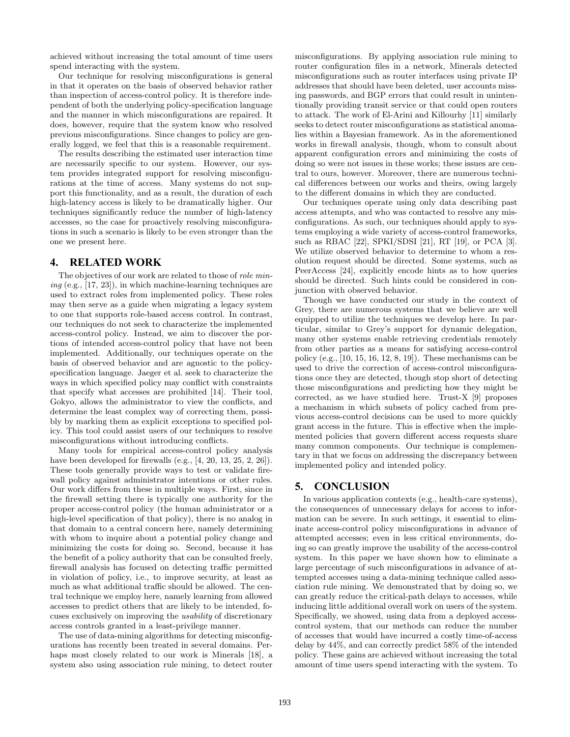achieved without increasing the total amount of time users spend interacting with the system.

Our technique for resolving misconfigurations is general in that it operates on the basis of observed behavior rather than inspection of access-control policy. It is therefore independent of both the underlying policy-specification language and the manner in which misconfigurations are repaired. It does, however, require that the system know who resolved previous misconfigurations. Since changes to policy are generally logged, we feel that this is a reasonable requirement.

The results describing the estimated user interaction time are necessarily specific to our system. However, our system provides integrated support for resolving misconfigurations at the time of access. Many systems do not support this functionality, and as a result, the duration of each high-latency access is likely to be dramatically higher. Our techniques significantly reduce the number of high-latency accesses, so the case for proactively resolving misconfigurations in such a scenario is likely to be even stronger than the one we present here.

# **4. RELATED WORK**

The objectives of our work are related to those of *role min* $ing$  (e.g., [17, 23]), in which machine-learning techniques are used to extract roles from implemented policy. These roles may then serve as a guide when migrating a legacy system to one that supports role-based access control. In contrast, our techniques do not seek to characterize the implemented access-control policy. Instead, we aim to discover the portions of intended access-control policy that have not been implemented. Additionally, our techniques operate on the basis of observed behavior and are agnostic to the policyspecification language. Jaeger et al. seek to characterize the ways in which specified policy may conflict with constraints that specify what accesses are prohibited [14]. Their tool, Gokyo, allows the administrator to view the conflicts, and determine the least complex way of correcting them, possibly by marking them as explicit exceptions to specified policy. This tool could assist users of our techniques to resolve misconfigurations without introducing conflicts.

Many tools for empirical access-control policy analysis have been developed for firewalls (e.g., [4, 20, 13, 25, 2, 26]). These tools generally provide ways to test or validate firewall policy against administrator intentions or other rules. Our work differs from these in multiple ways. First, since in the firewall setting there is typically one authority for the proper access-control policy (the human administrator or a high-level specification of that policy), there is no analog in that domain to a central concern here, namely determining with whom to inquire about a potential policy change and minimizing the costs for doing so. Second, because it has the benefit of a policy authority that can be consulted freely, firewall analysis has focused on detecting traffic permitted in violation of policy, i.e., to improve security, at least as much as what additional traffic should be allowed. The central technique we employ here, namely learning from allowed accesses to predict others that are likely to be intended, focuses exclusively on improving the usability of discretionary access controls granted in a least-privilege manner.

The use of data-mining algorithms for detecting misconfigurations has recently been treated in several domains. Perhaps most closely related to our work is Minerals [18], a system also using association rule mining, to detect router misconfigurations. By applying association rule mining to router configuration files in a network, Minerals detected misconfigurations such as router interfaces using private IP addresses that should have been deleted, user accounts missing passwords, and BGP errors that could result in unintentionally providing transit service or that could open routers to attack. The work of El-Arini and Killourhy [11] similarly seeks to detect router misconfigurations as statistical anomalies within a Bayesian framework. As in the aforementioned works in firewall analysis, though, whom to consult about apparent configuration errors and minimizing the costs of doing so were not issues in these works; these issues are central to ours, however. Moreover, there are numerous technical differences between our works and theirs, owing largely to the different domains in which they are conducted.

Our techniques operate using only data describing past access attempts, and who was contacted to resolve any misconfigurations. As such, our techniques should apply to systems employing a wide variety of access-control frameworks, such as RBAC [22], SPKI/SDSI [21], RT [19], or PCA [3]. We utilize observed behavior to determine to whom a resolution request should be directed. Some systems, such as PeerAccess [24], explicitly encode hints as to how queries should be directed. Such hints could be considered in conjunction with observed behavior.

Though we have conducted our study in the context of Grey, there are numerous systems that we believe are well equipped to utilize the techniques we develop here. In particular, similar to Grey's support for dynamic delegation, many other systems enable retrieving credentials remotely from other parties as a means for satisfying access-control policy (e.g., [10, 15, 16, 12, 8, 19]). These mechanisms can be used to drive the correction of access-control misconfigurations once they are detected, though stop short of detecting those misconfigurations and predicting how they might be corrected, as we have studied here. Trust-X [9] proposes a mechanism in which subsets of policy cached from previous access-control decisions can be used to more quickly grant access in the future. This is effective when the implemented policies that govern different access requests share many common components. Our technique is complementary in that we focus on addressing the discrepancy between implemented policy and intended policy.

# **5. CONCLUSION**

In various application contexts (e.g., health-care systems), the consequences of unnecessary delays for access to information can be severe. In such settings, it essential to eliminate access-control policy misconfigurations in advance of attempted accesses; even in less critical environments, doing so can greatly improve the usability of the access-control system. In this paper we have shown how to eliminate a large percentage of such misconfigurations in advance of attempted accesses using a data-mining technique called association rule mining. We demonstrated that by doing so, we can greatly reduce the critical-path delays to accesses, while inducing little additional overall work on users of the system. Specifically, we showed, using data from a deployed accesscontrol system, that our methods can reduce the number of accesses that would have incurred a costly time-of-access delay by 44%, and can correctly predict 58% of the intended policy. These gains are achieved without increasing the total amount of time users spend interacting with the system. To